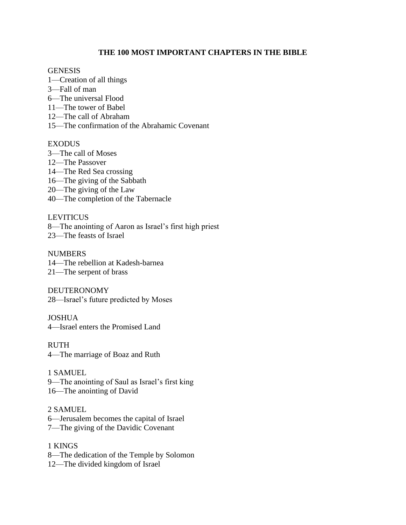### **THE 100 MOST IMPORTANT CHAPTERS IN THE BIBLE**

#### **GENESIS**

- 1—Creation of all things
- 3—Fall of man
- 6—The universal Flood
- 11—The tower of Babel
- 12—The call of Abraham
- 15—The confirmation of the Abrahamic Covenant

#### EXODUS

- 3—The call of Moses
- 12—The Passover
- 14—The Red Sea crossing
- 16—The giving of the Sabbath
- 20—The giving of the Law
- 40—The completion of the Tabernacle

#### **LEVITICUS**

8—The anointing of Aaron as Israel's first high priest

23—The feasts of Israel

# NUMBERS 14—The rebellion at Kadesh-barnea

21—The serpent of brass

DEUTERONOMY 28—Israel's future predicted by Moses

#### **JOSHUA**

4—Israel enters the Promised Land

RUTH 4—The marriage of Boaz and Ruth

# 1 SAMUEL

9—The anointing of Saul as Israel's first king

# 16—The anointing of David

### 2 SAMUEL

- 6—Jerusalem becomes the capital of Israel
- 7—The giving of the Davidic Covenant

### 1 KINGS

- 8—The dedication of the Temple by Solomon
- 12—The divided kingdom of Israel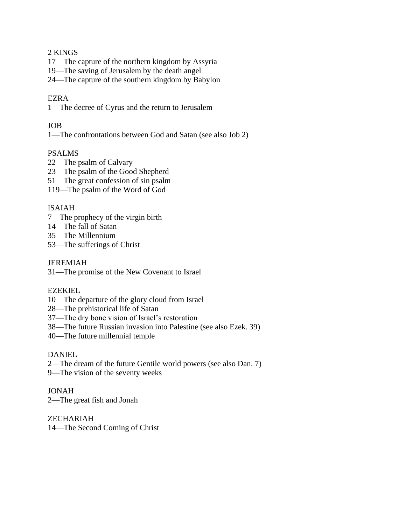### 2 KINGS

17—The capture of the northern kingdom by Assyria

19—The saving of Jerusalem by the death angel

24—The capture of the southern kingdom by Babylon

### EZRA

1—The decree of Cyrus and the return to Jerusalem

### JOB

1—The confrontations between God and Satan (see also Job 2)

### PSALMS

22—The psalm of Calvary

23—The psalm of the Good Shepherd

- 51—The great confession of sin psalm
- 119—The psalm of the Word of God

### ISAIAH

- 7—The prophecy of the virgin birth
- 14—The fall of Satan
- 35—The Millennium
- 53—The sufferings of Christ

#### JEREMIAH

31—The promise of the New Covenant to Israel

#### EZEKIEL

- 10—The departure of the glory cloud from Israel
- 28—The prehistorical life of Satan
- 37—The dry bone vision of Israel's restoration
- 38—The future Russian invasion into Palestine (see also Ezek. 39)
- 40—The future millennial temple

### **DANIEL**

- 2—The dream of the future Gentile world powers (see also Dan. 7)
- 9—The vision of the seventy weeks

### JONAH

2—The great fish and Jonah

### **ZECHARIAH**

14—The Second Coming of Christ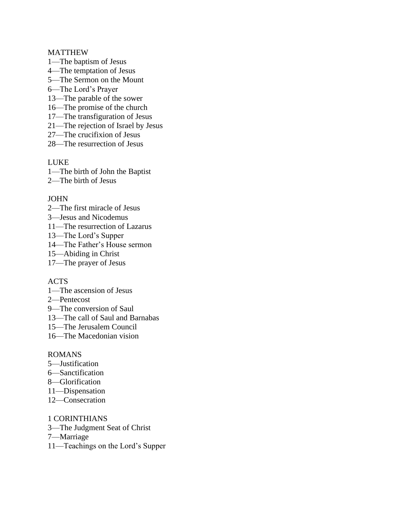#### MATTHEW

- 1—The baptism of Jesus
- 4—The temptation of Jesus
- 5—The Sermon on the Mount
- 6—The Lord's Prayer
- 13—The parable of the sower
- 16—The promise of the church
- 17—The transfiguration of Jesus
- 21—The rejection of Israel by Jesus
- 27—The crucifixion of Jesus
- 28—The resurrection of Jesus

#### LUKE

- 1—The birth of John the Baptist
- 2—The birth of Jesus

#### JOHN

- 2—The first miracle of Jesus
- 3—Jesus and Nicodemus
- 11—The resurrection of Lazarus
- 13—The Lord's Supper
- 14—The Father's House sermon
- 15—Abiding in Christ
- 17—The prayer of Jesus

#### ACTS

- 1—The ascension of Jesus
- 2—Pentecost
- 9—The conversion of Saul
- 13—The call of Saul and Barnabas
- 15—The Jerusalem Council
- 16—The Macedonian vision

#### ROMANS

- 5—Justification
- 6—Sanctification
- 8—Glorification
- 11—Dispensation
- 12—Consecration

1 CORINTHIANS

- 3—The Judgment Seat of Christ
- 7—Marriage
- 11—Teachings on the Lord's Supper